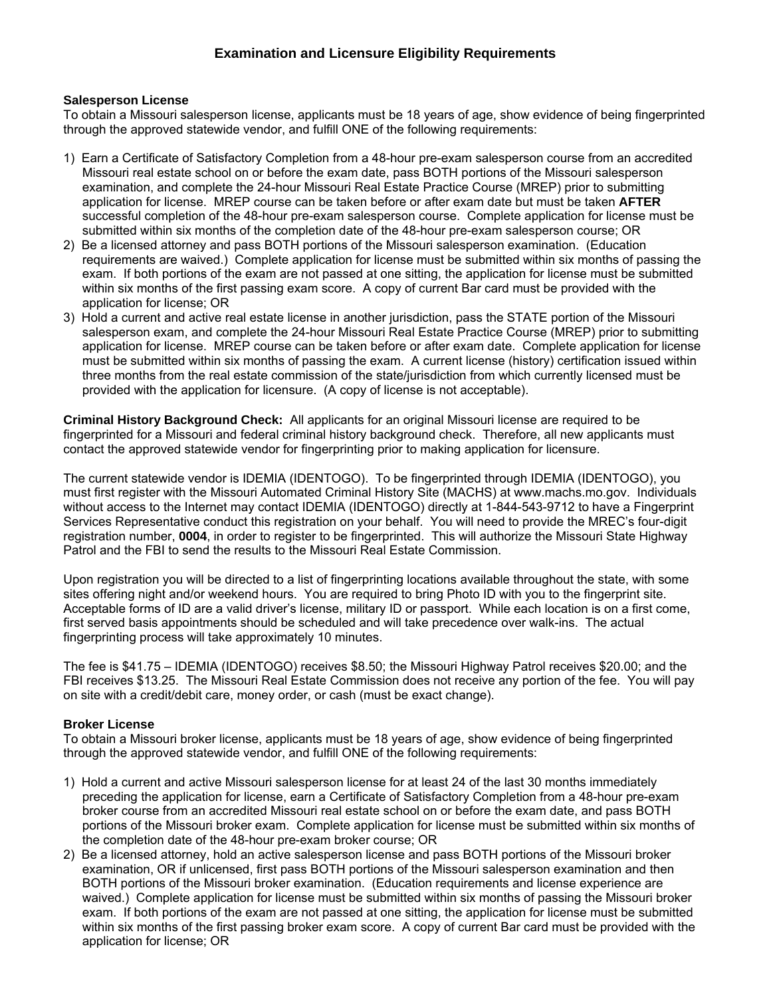## **Examination and Licensure Eligibility Requirements**

## **Salesperson License**

To obtain a Missouri salesperson license, applicants must be 18 years of age, show evidence of being fingerprinted through the approved statewide vendor, and fulfill ONE of the following requirements:

- 1) Earn a Certificate of Satisfactory Completion from a 48-hour pre-exam salesperson course from an accredited Missouri real estate school on or before the exam date, pass BOTH portions of the Missouri salesperson examination, and complete the 24-hour Missouri Real Estate Practice Course (MREP) prior to submitting application for license. MREP course can be taken before or after exam date but must be taken **AFTER** successful completion of the 48-hour pre-exam salesperson course. Complete application for license must be submitted within six months of the completion date of the 48-hour pre-exam salesperson course; OR
- 2) Be a licensed attorney and pass BOTH portions of the Missouri salesperson examination. (Education requirements are waived.) Complete application for license must be submitted within six months of passing the exam. If both portions of the exam are not passed at one sitting, the application for license must be submitted within six months of the first passing exam score. A copy of current Bar card must be provided with the application for license; OR
- 3) Hold a current and active real estate license in another jurisdiction, pass the STATE portion of the Missouri salesperson exam, and complete the 24-hour Missouri Real Estate Practice Course (MREP) prior to submitting application for license. MREP course can be taken before or after exam date. Complete application for license must be submitted within six months of passing the exam. A current license (history) certification issued within three months from the real estate commission of the state/jurisdiction from which currently licensed must be provided with the application for licensure. (A copy of license is not acceptable).

**Criminal History Background Check:** All applicants for an original Missouri license are required to be fingerprinted for a Missouri and federal criminal history background check. Therefore, all new applicants must contact the approved statewide vendor for fingerprinting prior to making application for licensure.

The current statewide vendor is IDEMIA (IDENTOGO). To be fingerprinted through IDEMIA (IDENTOGO), you must first register with the Missouri Automated Criminal History Site (MACHS) at www.machs.mo.gov. Individuals without access to the Internet may contact IDEMIA (IDENTOGO) directly at 1-844-543-9712 to have a Fingerprint Services Representative conduct this registration on your behalf. You will need to provide the MREC's four-digit registration number, **0004**, in order to register to be fingerprinted. This will authorize the Missouri State Highway Patrol and the FBI to send the results to the Missouri Real Estate Commission.

Upon registration you will be directed to a list of fingerprinting locations available throughout the state, with some sites offering night and/or weekend hours. You are required to bring Photo ID with you to the fingerprint site. Acceptable forms of ID are a valid driver's license, military ID or passport. While each location is on a first come, first served basis appointments should be scheduled and will take precedence over walk-ins. The actual fingerprinting process will take approximately 10 minutes.

The fee is \$41.75 – IDEMIA (IDENTOGO) receives \$8.50; the Missouri Highway Patrol receives \$20.00; and the FBI receives \$13.25. The Missouri Real Estate Commission does not receive any portion of the fee. You will pay on site with a credit/debit care, money order, or cash (must be exact change).

## **Broker License**

To obtain a Missouri broker license, applicants must be 18 years of age, show evidence of being fingerprinted through the approved statewide vendor, and fulfill ONE of the following requirements:

- 1) Hold a current and active Missouri salesperson license for at least 24 of the last 30 months immediately preceding the application for license, earn a Certificate of Satisfactory Completion from a 48-hour pre-exam broker course from an accredited Missouri real estate school on or before the exam date, and pass BOTH portions of the Missouri broker exam. Complete application for license must be submitted within six months of the completion date of the 48-hour pre-exam broker course; OR
- 2) Be a licensed attorney, hold an active salesperson license and pass BOTH portions of the Missouri broker examination, OR if unlicensed, first pass BOTH portions of the Missouri salesperson examination and then BOTH portions of the Missouri broker examination. (Education requirements and license experience are waived.) Complete application for license must be submitted within six months of passing the Missouri broker exam.If both portions of the exam are not passed at one sitting, the application for license must be submitted within six months of the first passing broker exam score. A copy of current Bar card must be provided with the application for license; OR